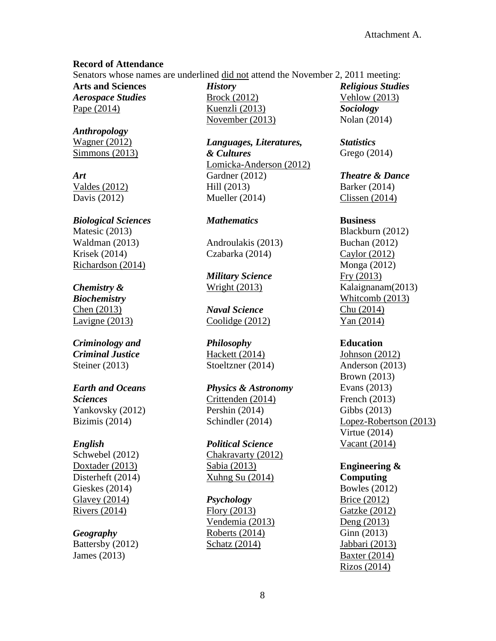### **Record of Attendance**

Senators whose names are underlined did not attend the November 2, 2011 meeting:

**Arts and Sciences** *Aerospace Studies* Pape (2014)

*Anthropology* Wagner (2012) Simmons (2013)

*Art* Valdes (2012) Davis (2012)

*Biological Sciences* Matesic (2013) Waldman (2013) Krisek (2014) Richardson (2014)

# *Chemistry &*

*Biochemistry* Chen (2013) Lavigne (2013)

# *Criminology and Criminal Justice* Steiner (2013)

## *Earth and Oceans Sciences* Yankovsky (2012) Bizimis (2014)

## *English*

Schwebel (2012) Doxtader (2013) Disterheft (2014) Gieskes (2014) Glavey (2014) Rivers (2014)

# *Geography*

Battersby (2012) James (2013)

*History* Brock (2012) Kuenzli (2013) November (2013)

*Languages, Literatures, & Cultures* Lomicka-Anderson (2012) Gardner (2012) Hill (2013) Mueller (2014)

## *Mathematics*

Androulakis (2013) Czabarka (2014)

*Military Science* Wright (2013)

*Naval Science* Coolidge (2012)

*Philosophy* Hackett (2014) Stoeltzner (2014)

*Physics & Astronomy* Crittenden (2014) Pershin (2014) Schindler (2014)

*Political Science* Chakravarty (2012) Sabia (2013) Xuhng Su (2014)

#### *Psychology*

Flory (2013) Vendemia (2013) Roberts (2014) Schatz (2014)

*Religious Studies* Vehlow (2013) *Sociology* Nolan (2014)

*Statistics* Grego (2014)

*Theatre & Dance* Barker (2014) Clissen (2014)

### **Business**

Blackburn (2012) Buchan (2012) Caylor (2012) Monga (2012) Fry (2013) Kalaignanam(2013) Whitcomb (2013) Chu (2014) Yan (2014)

## **Education**

Johnson (2012) Anderson (2013) Brown (2013) Evans (2013) French (2013) Gibbs (2013) Lopez-Robertson (2013) Virtue (2014) Vacant (2014)

# **Engineering &**

**Computing** Bowles (2012) Brice (2012) Gatzke (2012) Deng (2013) Ginn (2013) Jabbari (2013) Baxter (2014) Rizos (2014)